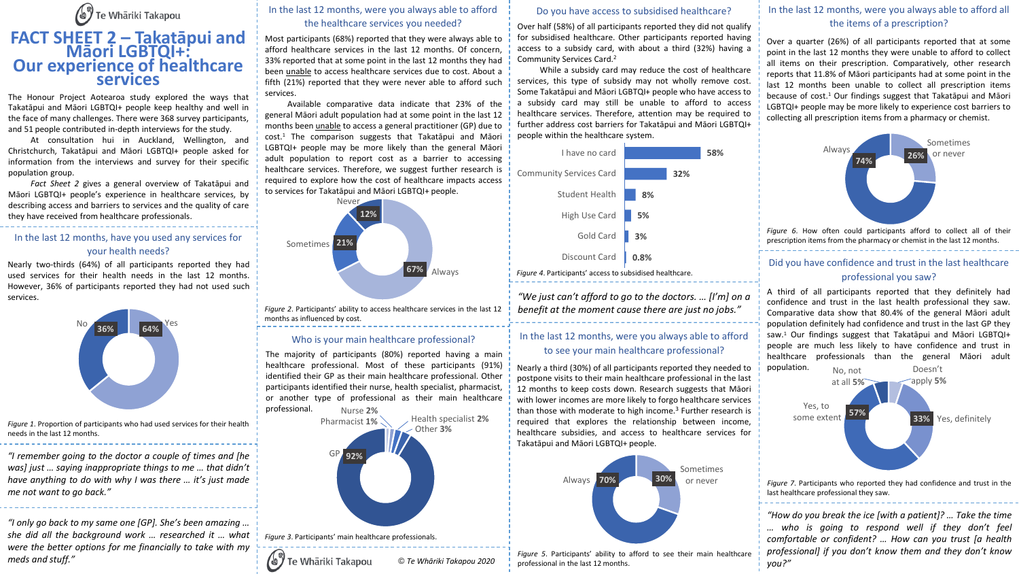

# **FACT SHEET 2 – Takatāpui and Māori LGBTQI+: Our experience of healthcare services**

The Honour Project Aotearoa study explored the ways that Takatāpui and Māori LGBTQI+ people keep healthy and well in the face of many challenges. There were 368 survey participants, and 51 people contributed in-depth interviews for the study.

At consultation hui in Auckland, Wellington, and Christchurch, Takatāpui and Māori LGBTQI+ people asked for information from the interviews and survey for their specific population group.

*Fact Sheet 2* gives a general overview of Takatāpui and Māori LGBTQI+ people's experience in healthcare services, by describing access and barriers to services and the quality of care they have received from healthcare professionals.

#### In the last 12 months, have you used any services for your health needs?

Nearly two-thirds (64%) of all participants reported they had used services for their health needs in the last 12 months. However, 36% of participants reported they had not used such services.



*Figure 1*. Proportion of participants who had used services for their health needs in the last 12 months.

*"I remember going to the doctor a couple of times and [he was] just … saying inappropriate things to me … that didn't have anything to do with why I was there … it's just made me not want to go back."*

*"I only go back to my same one [GP]. She's been amazing … she did all the background work … researched it … what were the better options for me financially to take with my meds and stuff."*

#### In the last 12 months, were you always able to afford the healthcare services you needed?

Most participants (68%) reported that they were always able to afford healthcare services in the last 12 months. Of concern, 33% reported that at some point in the last 12 months they had been unable to access healthcare services due to cost. About a fifth (21%) reported that they were never able to afford such services.

Available comparative data indicate that 23% of the general Māori adult population had at some point in the last 12 months been unable to access a general practitioner (GP) due to cost. <sup>1</sup> The comparison suggests that Takatāpui and Māori LGBTQI+ people may be more likely than the general Māori adult population to report cost as a barrier to accessing healthcare services. Therefore, we suggest further research is required to explore how the cost of healthcare impacts access to services for Takatāpui and Māori LGBTQI+ people.



*Figure 2*. Participants' ability to access healthcare services in the last 12 months as influenced by cost.

#### Who is your main healthcare professional?

The majority of participants (80%) reported having a main healthcare professional. Most of these participants (91%) identified their GP as their main healthcare professional. Other participants identified their nurse, health specialist, pharmacist, or another type of professional as their main healthcare professional. Nurse **2%**



#### Do you have access to subsidised healthcare?

Over half (58%) of all participants reported they did not qualify for subsidised healthcare. Other participants reported having access to a subsidy card, with about a third (32%) having a Community Services Card. 2

While a subsidy card may reduce the cost of healthcare services, this type of subsidy may not wholly remove cost. Some Takatāpui and Māori LGBTQI+ people who have access to a subsidy card may still be unable to afford to access healthcare services. Therefore, attention may be required to further address cost barriers for Takatāpui and Māori LGBTQI+ people within the healthcare system.



*"We just can't afford to go to the doctors. … [I'm] on a benefit at the moment cause there are just no jobs."*

#### In the last 12 months, were you always able to afford to see your main healthcare professional?

Nearly a third (30%) of all participants reported they needed to postpone visits to their main healthcare professional in the last 12 months to keep costs down. Research suggests that Māori with lower incomes are more likely to forgo healthcare services than those with moderate to high income. <sup>3</sup> Further research is required that explores the relationship between income, healthcare subsidies, and access to healthcare services for Takatāpui and Māori LGBTQI+ people.



*Figure 5*. Participants' ability to afford to see their main healthcare professional in the last 12 months.

# In the last 12 months, were you always able to afford all the items of a prescription?

Over a quarter (26%) of all participants reported that at some point in the last 12 months they were unable to afford to collect all items on their prescription. Comparatively, other research reports that 11.8% of Māori participants had at some point in the last 12 months been unable to collect all prescription items because of cost. <sup>1</sup> Our findings suggest that Takatāpui and Māori LGBTQI+ people may be more likely to experience cost barriers to collecting all prescription items from a pharmacy or chemist.



### Did you have confidence and trust in the last healthcare professional you saw?

A third of all participants reported that they definitely had confidence and trust in the last health professional they saw. Comparative data show that 80.4% of the general Māori adult population definitely had confidence and trust in the last GP they saw. <sup>1</sup> Our findings suggest that Takatāpui and Māori LGBTQI+ people are much less likely to have confidence and trust in healthcare professionals than the general Māori adult population.



*Figure 7*. Participants who reported they had confidence and trust in the last healthcare professional they saw.

*"How do you break the ice [with a patient]? … Take the time … who is going to respond well if they don't feel comfortable or confident? … How can you trust [a health professional] if you don't know them and they don't know you?"*